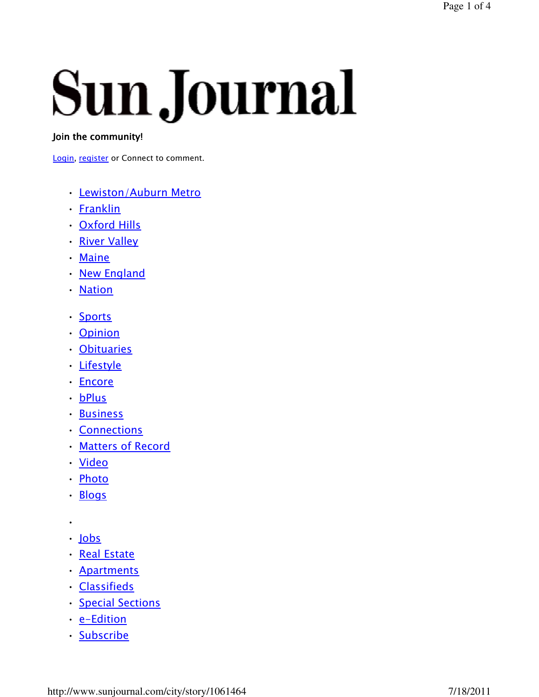# **Sun Journal**

#### Join the community!

Login, register or Connect to comment.

- Lewiston/Auburn Metro
- Franklin
- Oxford Hills
- River Valley
- Maine
- New England
- Nation
- Sports
- Opinion
- Obituaries
- Lifestyle
- Encore
- bPlus
- Business
- Connections
- Matters of Record
- Video
- Photo
- Blogs
- •
- Jobs
- Real Estate
- Apartments
- Classifieds
- Special Sections
- e-Edition
- Subscribe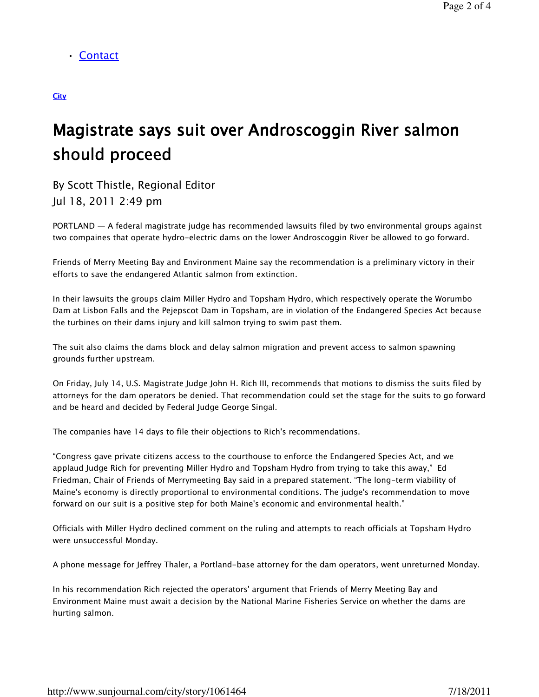• Contact

#### **City**

# Magistrate says suit over Androscoggin River salmon should proceed

By Scott Thistle, Regional Editor Jul 18, 2011 2:49 pm

PORTLAND — A federal magistrate judge has recommended lawsuits filed by two environmental groups against two compaines that operate hydro-electric dams on the lower Androscoggin River be allowed to go forward.

Friends of Merry Meeting Bay and Environment Maine say the recommendation is a preliminary victory in their efforts to save the endangered Atlantic salmon from extinction.

In their lawsuits the groups claim Miller Hydro and Topsham Hydro, which respectively operate the Worumbo Dam at Lisbon Falls and the Pejepscot Dam in Topsham, are in violation of the Endangered Species Act because the turbines on their dams injury and kill salmon trying to swim past them.

The suit also claims the dams block and delay salmon migration and prevent access to salmon spawning grounds further upstream.

On Friday, July 14, U.S. Magistrate Judge John H. Rich III, recommends that motions to dismiss the suits filed by attorneys for the dam operators be denied. That recommendation could set the stage for the suits to go forward and be heard and decided by Federal Judge George Singal.

The companies have 14 days to file their objections to Rich's recommendations.

"Congress gave private citizens access to the courthouse to enforce the Endangered Species Act, and we applaud Judge Rich for preventing Miller Hydro and Topsham Hydro from trying to take this away," Ed Friedman, Chair of Friends of Merrymeeting Bay said in a prepared statement. "The long-term viability of Maine's economy is directly proportional to environmental conditions. The judge's recommendation to move forward on our suit is a positive step for both Maine's economic and environmental health."

Officials with Miller Hydro declined comment on the ruling and attempts to reach officials at Topsham Hydro were unsuccessful Monday.

A phone message for Jeffrey Thaler, a Portland-base attorney for the dam operators, went unreturned Monday.

In his recommendation Rich rejected the operators' argument that Friends of Merry Meeting Bay and Environment Maine must await a decision by the National Marine Fisheries Service on whether the dams are hurting salmon.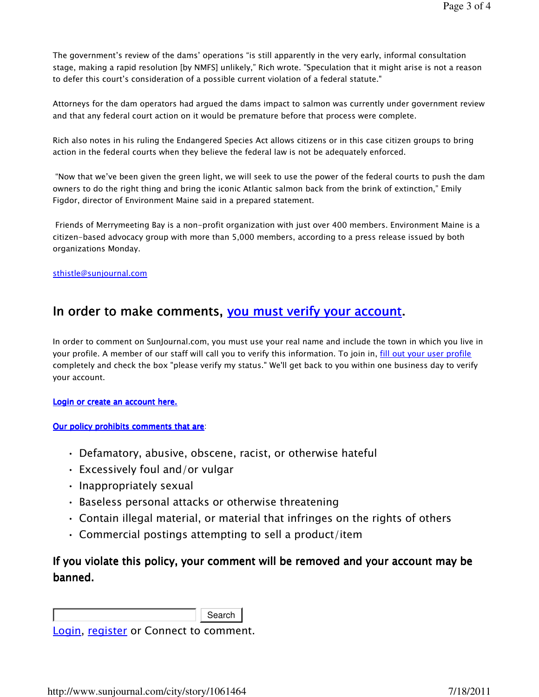The government's review of the dams' operations "is still apparently in the very early, informal consultation stage, making a rapid resolution [by NMFS] unlikely," Rich wrote. "Speculation that it might arise is not a reason to defer this court's consideration of a possible current violation of a federal statute."

Attorneys for the dam operators had argued the dams impact to salmon was currently under government review and that any federal court action on it would be premature before that process were complete.

Rich also notes in his ruling the Endangered Species Act allows citizens or in this case citizen groups to bring action in the federal courts when they believe the federal law is not be adequately enforced.

 "Now that we've been given the green light, we will seek to use the power of the federal courts to push the dam owners to do the right thing and bring the iconic Atlantic salmon back from the brink of extinction," Emily Figdor, director of Environment Maine said in a prepared statement.

 Friends of Merrymeeting Bay is a non-profit organization with just over 400 members. Environment Maine is a citizen-based advocacy group with more than 5,000 members, according to a press release issued by both organizations Monday.

#### sthistle@sunjournal.com

## In order to make comments, you must verify your account.

In order to comment on SunJournal.com, you must use your real name and include the town in which you live in your profile. A member of our staff will call you to verify this information. To join in, fill out your user profile completely and check the box "please verify my status." We'll get back to you within one business day to verify your account.

Login or create an account here.

#### Our policy prohibits comments that are:

- Defamatory, abusive, obscene, racist, or otherwise hateful
- Excessively foul and/or vulgar
- Inappropriately sexual
- Baseless personal attacks or otherwise threatening
- Contain illegal material, or material that infringes on the rights of others
- Commercial postings attempting to sell a product/item

### If you violate this policy, your comment will be removed and your account may be banned.

Search

Login, register or Connect to comment.